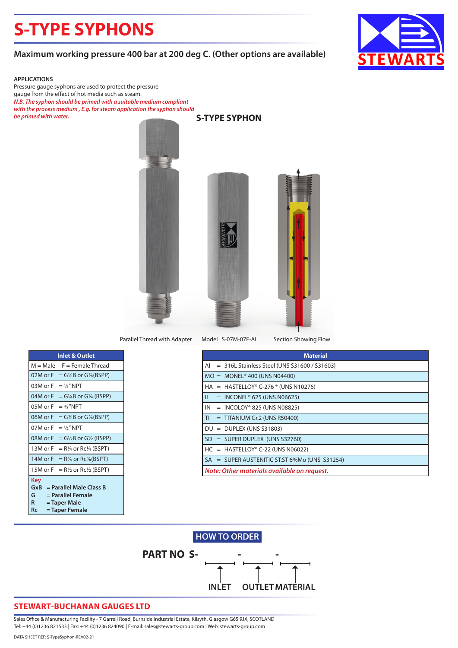# **S-TYPE SYPHONS**

### **Maximum working pressure 400 bar at 200 deg C. (Other options are available)**



#### **APPLICATIONS**

Pressure gauge syphons are used to protect the pressure gauge from the effect of hot media such as steam. *N.B. The syphon should be primed with a suitable medium compliant with the process medium , E.g. for steam application the syphon should be primed with water.* **S-TYPE SYPHON**



Model S-07M-07F-AI Parallel Thread with Adapter Model S-07M-07F-AI Section Showing Flow

| <b>Inlet &amp; Outlet</b>                                                                                           |
|---------------------------------------------------------------------------------------------------------------------|
| $M = Male$<br>$F =$ Female Thread                                                                                   |
| $02M$ or $F$<br>$= G\frac{1}{8}B$ or $G\frac{1}{8}(BSPP)$                                                           |
| 03M or $F = \frac{1}{4}$ " NPT                                                                                      |
| 04M or $F = G/4B$ or $G/4$ (BSPP)                                                                                   |
| 05M or F<br>$=$ % "NPT                                                                                              |
| 06M or $F = G\%B$ or $G\%$ (BSPP)                                                                                   |
| 07M or $F = \frac{1}{2}$ NPT                                                                                        |
| 08M or $F = G\frac{1}{2}B$ or $G\frac{1}{2}$ (BSPP)                                                                 |
| 13M or $F = R\frac{1}{4}$ or Rc $\frac{1}{4}$ (BSPT)                                                                |
| 14M or $F = R\%$ or $Rc\%$ (BSPT)                                                                                   |
| 15M or $F = R\frac{1}{2}$ or $Rc\frac{1}{2}$ (BSPT)                                                                 |
| Key<br>$GxB = Parallel Male Class B$<br>= Parallel Female<br>G.<br>R<br>= Taper Male<br><b>Rc</b><br>= Taper Female |

| <b>Material</b>                                       |
|-------------------------------------------------------|
| $= 316$ L Stainless Steel (UNS S31600 / S31603)<br>AI |
| $MO = MONEL^{\circ}$ 400 (UNS N04400)                 |
| $HA = HASTELLOY® C-276® (UNS N10276)$                 |
| $=$ INCONEL <sup>®</sup> 625 (UNS N06625)<br>IL.      |
| IN<br>$=$ INCOLOY® 825 (UNS N08825)                   |
| T <sub>1</sub><br>$=$ TITANIUM Gr.2 (UNS R50400)      |
| $DU = DUPLEX (UNS S31803)$                            |
| $SD = SUPER DUPLEX (UNS S32760)$                      |
| $HC = HASTELLOY® C-22 (UNS N06022)$                   |
| SA = SUPER AUSTENITIC ST.ST 6%Mo (UNS S31254)         |
| Note: Other materials available on request.           |

# **PART NO S-INLET OUTLETMATERIAL HOW TO ORDER**

### **STEWART-BUCHANAN GAUGES LTD**

Sales Office & Manufacturing Facility - 7 Garrell Road, Burnside Industrial Estate, Kilsyth, Glasgow G65 9JX, SCOTLAND Tel: +44 (0)1236 821533 | Fax: +44 (0)1236 824090 | E-mail: sales@stewarts-group.com | Web: stewarts-group.com